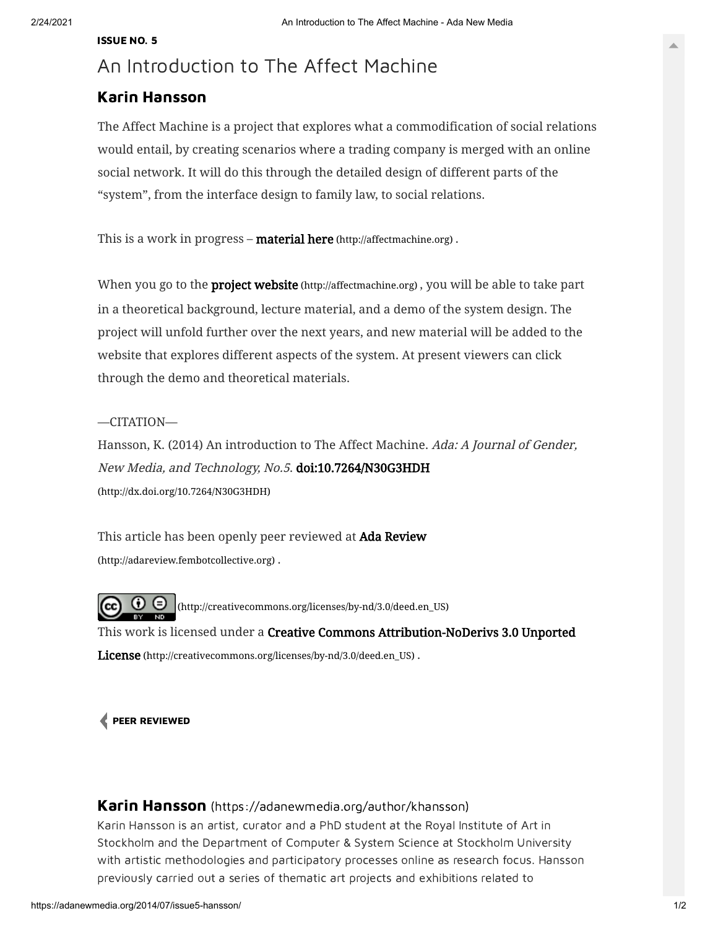## An Introduction to The Affect Machine

## Karin [Hansson](https://adanewmedia.org/author/khansson)

The Affect Machine is a project that explores what a commodification of social relations would entail, by creating scenarios where a trading company is merged with an online social network. It will do this through the detailed design of different parts of the "system", from the interface design to family law, to social relations.

This is a work in progress – **material here** [\(http://affectmachine.org\)](http://affectmachine.org/).

When you go to the **project website** [\(http://affectmachine.org\)](http://affectmachine.org/), you will be able to take part in a theoretical background, lecture material, and a demo of the system design. The project will unfold further over the next years, and new material will be added to the website that explores different aspects of the system. At present viewers can click through the demo and theoretical materials.

## —CITATION—

Hansson, K. (2014) An introduction to The Affect Machine. Ada: A Journal of Gender, New Media, and Technology, No.5. doi:10.7264/N30G3HDH [\(http://dx.doi.org/10.7264/N30G3HDH\)](http://dx.doi.org/10.7264/N30G3HDH)

This article has been openly peer reviewed at Ada Review [\(http://adareview.fembotcollective.org\)](http://adareview.fembotcollective.org/) .

 $\odot$   $\odot$ [\(http://creativecommons.org/licenses/by-nd/3.0/deed.en\\_US\)](http://creativecommons.org/licenses/by-nd/3.0/deed.en_US) This work is licensed under a Creative Commons Attribution-NoDerivs 3.0 Unported License [\(http://creativecommons.org/licenses/by-nd/3.0/deed.en\\_US\)](http://creativecommons.org/licenses/by-nd/3.0/deed.en_US).

## PEER [REVIEWED](https://adanewmedia.org/tag/peer-reviewed/)

Karin Hansson [\(https://adanewmedia.org/author/khansson\)](https://adanewmedia.org/author/khansson)

Karin Hansson is an artist, curator and a PhD student at the Royal Institute of Art in Stockholm and the Department of Computer & System Science at Stockholm University with artistic methodologies and participatory processes online as research focus. Hansson previously carried out a series of thematic art projects and exhibitions related to